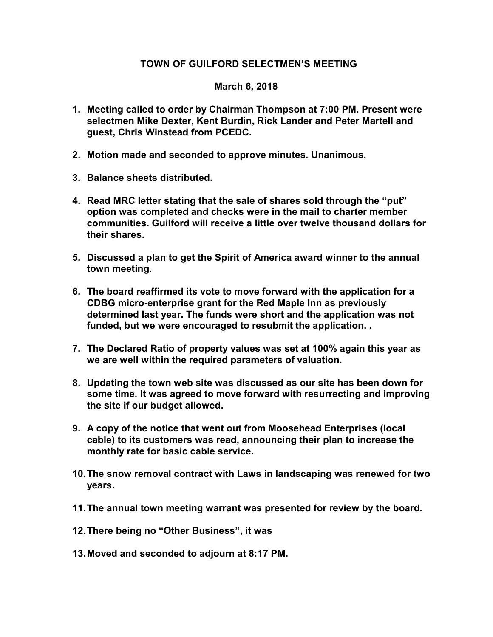## TOWN OF GUILFORD SELECTMEN'S MEETING

## March 6, 2018

- 1. Meeting called to order by Chairman Thompson at 7:00 PM. Present were selectmen Mike Dexter, Kent Burdin, Rick Lander and Peter Martell and guest, Chris Winstead from PCEDC.
- 2. Motion made and seconded to approve minutes. Unanimous.
- 3. Balance sheets distributed.
- 4. Read MRC letter stating that the sale of shares sold through the "put" option was completed and checks were in the mail to charter member communities. Guilford will receive a little over twelve thousand dollars for their shares.
- 5. Discussed a plan to get the Spirit of America award winner to the annual town meeting.
- 6. The board reaffirmed its vote to move forward with the application for a CDBG micro-enterprise grant for the Red Maple Inn as previously determined last year. The funds were short and the application was not funded, but we were encouraged to resubmit the application. .
- 7. The Declared Ratio of property values was set at 100% again this year as we are well within the required parameters of valuation.
- 8. Updating the town web site was discussed as our site has been down for some time. It was agreed to move forward with resurrecting and improving the site if our budget allowed.
- 9. A copy of the notice that went out from Moosehead Enterprises (local cable) to its customers was read, announcing their plan to increase the monthly rate for basic cable service.
- 10. The snow removal contract with Laws in landscaping was renewed for two years.
- 11. The annual town meeting warrant was presented for review by the board.
- 12. There being no "Other Business", it was
- 13. Moved and seconded to adjourn at 8:17 PM.